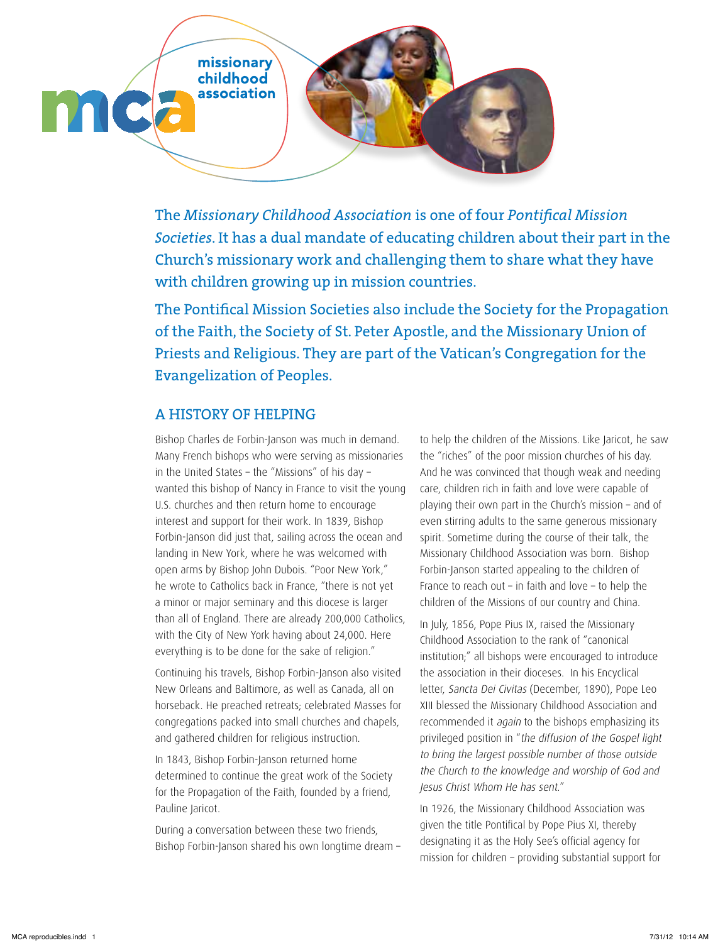

The *Missionary Childhood Association* is one of four *Pontifical Mission Societies*. It has a dual mandate of educating children about their part in the Church's missionary work and challenging them to share what they have with children growing up in mission countries.

The Pontifical Mission Societies also include the Society for the Propagation of the Faith, the Society of St. Peter Apostle, and the Missionary Union of Priests and Religious. They are part of the Vatican's Congregation for the Evangelization of Peoples.

## A HISTORY OF HELPING

Bishop Charles de Forbin-Janson was much in demand. Many French bishops who were serving as missionaries in the United States – the "Missions" of his day – wanted this bishop of Nancy in France to visit the young U.S. churches and then return home to encourage interest and support for their work. In 1839, Bishop Forbin-Janson did just that, sailing across the ocean and landing in New York, where he was welcomed with open arms by Bishop John Dubois. "Poor New York," he wrote to Catholics back in France, "there is not yet a minor or major seminary and this diocese is larger than all of England. There are already 200,000 Catholics, with the City of New York having about 24,000. Here everything is to be done for the sake of religion."

Continuing his travels, Bishop Forbin-Janson also visited New Orleans and Baltimore, as well as Canada, all on horseback. He preached retreats; celebrated Masses for congregations packed into small churches and chapels, and gathered children for religious instruction.

In 1843, Bishop Forbin-Janson returned home determined to continue the great work of the Society for the Propagation of the Faith, founded by a friend, Pauline Jaricot.

During a conversation between these two friends, Bishop Forbin-Janson shared his own longtime dream –

to help the children of the Missions. Like Jaricot, he saw the "riches" of the poor mission churches of his day. And he was convinced that though weak and needing care, children rich in faith and love were capable of playing their own part in the Church's mission – and of even stirring adults to the same generous missionary spirit. Sometime during the course of their talk, the Missionary Childhood Association was born. Bishop Forbin-Janson started appealing to the children of France to reach out – in faith and love – to help the children of the Missions of our country and China.

In July, 1856, Pope Pius IX, raised the Missionary Childhood Association to the rank of "canonical institution;" all bishops were encouraged to introduce the association in their dioceses. In his Encyclical letter, Sancta Dei Civitas (December, 1890), Pope Leo XIII blessed the Missionary Childhood Association and recommended it again to the bishops emphasizing its privileged position in "the diffusion of the Gospel light to bring the largest possible number of those outside the Church to the knowledge and worship of God and Jesus Christ Whom He has sent."

In 1926, the Missionary Childhood Association was given the title Pontifical by Pope Pius XI, thereby designating it as the Holy See's official agency for mission for children – providing substantial support for